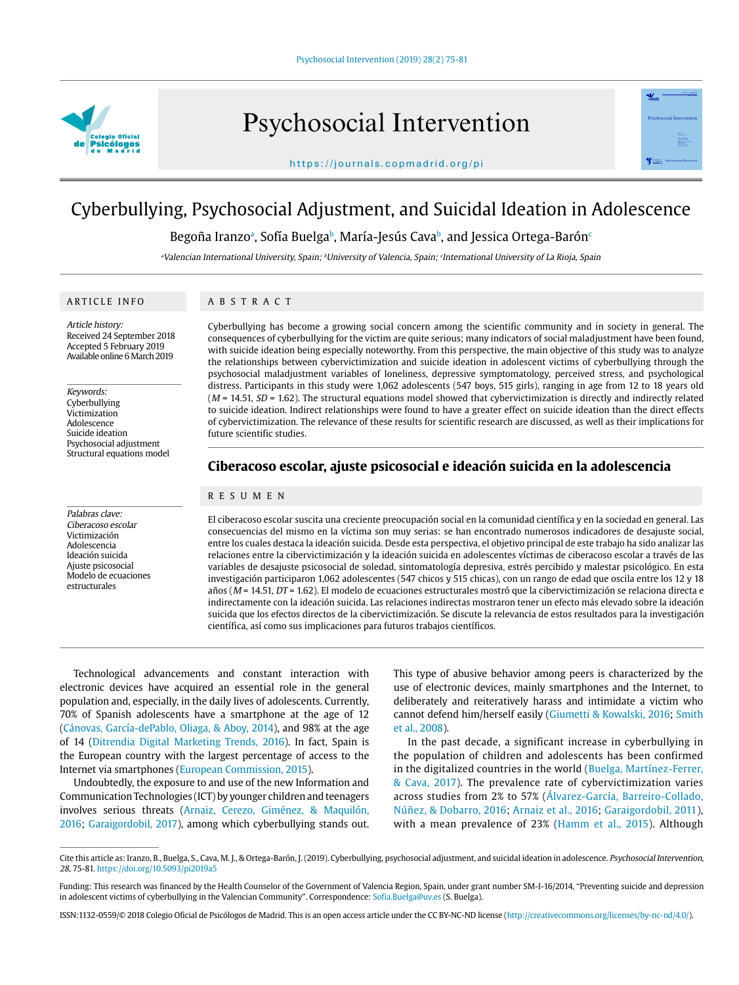

# Psychosocial Intervention

https://journals.copmadrid.org/pi



Begoña Iranzoª, Sofía Buelgaʰ, María-Jesús Cavaʰ, and Jessica Ortega-Barón<sup>c</sup>

aValencian International University, Spain; bUniversity of Valencia, Spain; cInternational University of La Rioja, Spain

# ARTICLE INFO

Article history: Received 24 September 2018 Accepted 5 February 2019 Available online 6 March 2019

Keywords: Cyberbullying Victimization Adolescence Suicide ideation Psychosocial adjustment Structural equations model

Palabras clave: Ciberacoso escolar Victimización Adolescencia Ideación suicida Ajuste psicosocial Modelo de ecuaciones estructurales

# ABSTRACT

Cyberbullying has become a growing social concern among the scientific community and in society in general. The consequences of cyberbullying for the victim are quite serious; many indicators of social maladjustment have been found, with suicide ideation being especially noteworthy. From this perspective, the main objective of this study was to analyze the relationships between cybervictimization and suicide ideation in adolescent victims of cyberbullying through the psychosocial maladjustment variables of loneliness, depressive symptomatology, perceived stress, and psychological distress. Participants in this study were 1,062 adolescents (547 boys, 515 girls), ranging in age from 12 to 18 years old  $(M = 14.51, SD = 1.62)$ . The structural equations model showed that cybervictimization is directly and indirectly related to suicide ideation. Indirect relationships were found to have a greater effect on suicide ideation than the direct effects of cybervictimization. The relevance of these results for scientific research are discussed, as well as their implications for future scientific studies.

# **Ciberacoso escolar, ajuste psicosocial e ideación suicida en la adolescencia**

# RESUMEN

El ciberacoso escolar suscita una creciente preocupación social en la comunidad científica y en la sociedad en general. Las consecuencias del mismo en la víctima son muy serias: se han encontrado numerosos indicadores de desajuste social, entre los cuales destaca la ideación suicida. Desde esta perspectiva, el objetivo principal de este trabajo ha sido analizar las relaciones entre la cibervictimización y la ideación suicida en adolescentes víctimas de ciberacoso escolar a través de las variables de desajuste psicosocial de soledad, sintomatología depresiva, estrés percibido y malestar psicológico. En esta investigación participaron 1,062 adolescentes (547 chicos y 515 chicas), con un rango de edad que oscila entre los 12 y 18 años ( $M = 14.51$ ,  $DT = 1.62$ ). El modelo de ecuaciones estructurales mostró que la cibervictimización se relaciona directa e indirectamente con la ideación suicida. Las relaciones indirectas mostraron tener un efecto más elevado sobre la ideación suicida que los efectos directos de la cibervictimización. Se discute la relevancia de estos resultados para la investigación científica, así como sus implicaciones para futuros trabajos científicos.

Technological advancements and constant interaction with electronic devices have acquired an essential role in the general population and, especially, in the daily lives of adolescents. Currently, 70% of Spanish adolescents have a smartphone at the age of 12 (Cánovas, García-dePablo, Oliaga, & Aboy, 2014), and 98% at the age of 14 (Ditrendia Digital Marketing Trends, 2016). In fact, Spain is the European country with the largest percentage of access to the Internet via smartphones (European Commission, 2015).

Undoubtedly, the exposure to and use of the new Information and Communication Technologies (ICT) by younger children and teenagers involves serious threats (Arnaiz, Cerezo, Giménez, & Maquilón, 2016; Garaigordobil, 2017), among which cyberbullying stands out. This type of abusive behavior among peers is characterized by the use of electronic devices, mainly smartphones and the Internet, to deliberately and reiteratively harass and intimidate a victim who cannot defend him/herself easily (Giumetti & Kowalski, 2016; Smith et al., 2008).

In the past decade, a significant increase in cyberbullying in the population of children and adolescents has been confirmed in the digitalized countries in the world (Buelga, Martínez-Ferrer, & Cava, 2017). The prevalence rate of cybervictimization varies across studies from 2% to 57% (Álvarez-García, Barreiro-Collado, Núñez, & Dobarro, 2016; Arnaiz et al., 2016; Garaigordobil, 2011), with a mean prevalence of 23% ([Hamm et al., 2015\)](https://www.sciencedirect.com/science/article/pii/S019074091730292X#bb0140). Although

ISSN:1132-0559/© 2018 Colegio Oficial de Psicólogos de Madrid. This is an open access article under the CC BY-NC-ND license (http://creativecommons.org/licenses/by-nc-nd/4.0/).



Cite this article as: Iranzo, B., Buelga, S., Cava, M. J., & Ortega-Barón, J. (2019). Cyberbullying, psychosocial adjustment, and suicidal ideation in adolescence. Psychosocial Intervention, 28, 75-81. https://doi.org/10.5093/pi2019a5

Funding: This research was financed by the Health Counselor of the Government of Valencia Region, Spain, under grant number SM-I-16/2014, "Preventing suicide and depression in adolescent victims of cyberbullying in the Valencian Community". Correspondence: Sofia.Buelga@uv.es (S. Buelga).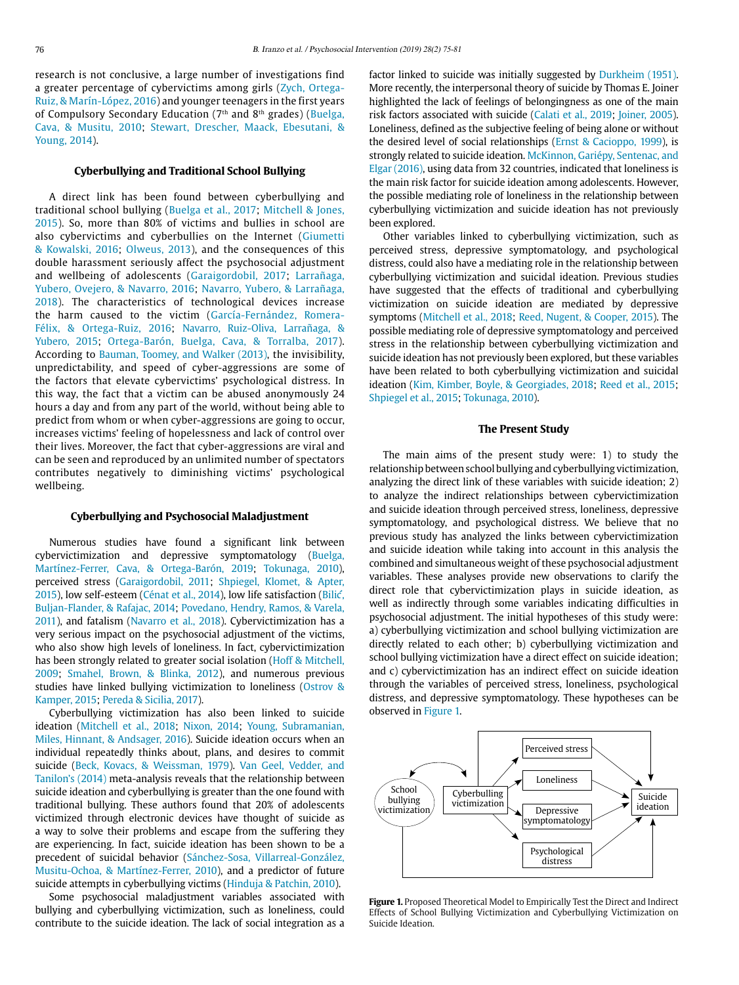research is not conclusive, a large number of investigations find a greater percentage of cybervictims among girls (Zych, Ortega-Ruiz, & Marín-López, 2016) and younger teenagers in the first years of Compulsory Secondary Education (7<sup>th</sup> and 8<sup>th</sup> grades) (Buelga, Cava, & Musitu, 2010; Stewart, Drescher, Maack, Ebesutani, & Young, 2014).

# **Cyberbullying and Traditional School Bullying**

A direct link has been found between cyberbullying and traditional school bullying (Buelga et al., 2017; Mitchell & Jones, 2015). So, more than 80% of victims and bullies in school are also cybervictims and cyberbullies on the Internet (Giumetti & Kowalski, 2016; Olweus, 2013), and the consequences of this double harassment seriously affect the psychosocial adjustment and wellbeing of adolescents (Garaigordobil, 2017; Larrañaga, Yubero, Ovejero, & Navarro, 2016; Navarro, Yubero, & Larrañaga, 2018). The characteristics of technological devices increase the harm caused to the victim (García-Fernández, Romera-Félix, & Ortega-Ruiz, 2016; Navarro, Ruiz-Oliva, Larrañaga, & Yubero, 2015; Ortega-Barón, Buelga, Cava, & Torralba, 2017). According to Bauman, Toomey, and Walker (2013), the invisibility, unpredictability, and speed of cyber-aggressions are some of the factors that elevate cybervictims' psychological distress. In this way, the fact that a victim can be abused anonymously 24 hours a day and from any part of the world, without being able to predict from whom or when cyber-aggressions are going to occur, increases victims' feeling of hopelessness and lack of control over their lives. Moreover, the fact that cyber-aggressions are viral and can be seen and reproduced by an unlimited number of spectators contributes negatively to diminishing victims' psychological wellbeing.

# **Cyberbullying and Psychosocial Maladjustment**

Numerous studies have found a significant link between cybervictimization and depressive symptomatology (Buelga, Martínez-Ferrer, Cava, & Ortega-Barón, 2019; Tokunaga, 2010), perceived stress (Garaigordobil, 2011; Shpiegel, Klomet, & Apter, 2015), low self-esteem (Cénat et al., 2014), low life satisfaction (Bilić, Buljan-Flander, & Rafajac, 2014; Povedano, Hendry, Ramos, & Varela, 2011), and fatalism (Navarro et al., 2018). Cybervictimization has a very serious impact on the psychosocial adjustment of the victims, who also show high levels of loneliness. In fact, cybervictimization has been strongly related to greater social isolation (Hoff & Mitchell, 2009; Smahel, Brown, & Blinka, 2012), and numerous previous studies have linked bullying victimization to loneliness (Ostrov & Kamper, 2015; Pereda & Sicilia, 2017).

Cyberbullying victimization has also been linked to suicide ideation (Mitchell et al., 2018; Nixon, 2014; Young, Subramanian, Miles, Hinnant, & Andsager, 2016). Suicide ideation occurs when an individual repeatedly thinks about, plans, and desires to commit suicide (Beck, Kovacs, & Weissman, 1979). Van Geel, Vedder, and Tanilon's (2014) meta-analysis reveals that the relationship between suicide ideation and cyberbullying is greater than the one found with traditional bullying. These authors found that 20% of adolescents victimized through electronic devices have thought of suicide as a way to solve their problems and escape from the suffering they are experiencing. In fact, suicide ideation has been shown to be a precedent of suicidal behavior (Sánchez-Sosa, Villarreal-González, Musitu-Ochoa, & Martínez-Ferrer, 2010), and a predictor of future suicide attempts in cyberbullying victims (Hinduja & Patchin, 2010).

Some psychosocial maladjustment variables associated with bullying and cyberbullying victimization, such as loneliness, could contribute to the suicide ideation. The lack of social integration as a

factor linked to suicide was initially suggested by Durkheim (1951). More recently, the interpersonal theory of suicide by Thomas E. Joiner highlighted the lack of feelings of belongingness as one of the main risk factors associated with suicide (Calati et al., 2019; Joiner, 2005). Loneliness, defined as the subjective feeling of being alone or without the desired level of social relationships (Ernst & Cacioppo, 1999), is strongly related to suicide ideation. McKinnon, Gariépy, Sentenac, and Elgar (2016), using data from 32 countries, indicated that loneliness is the main risk factor for suicide ideation among adolescents. However, the possible mediating role of loneliness in the relationship between cyberbullying victimization and suicide ideation has not previously been explored.

Other variables linked to cyberbullying victimization, such as perceived stress, depressive symptomatology, and psychological distress, could also have a mediating role in the relationship between cyberbullying victimization and suicidal ideation. Previous studies have suggested that the effects of traditional and cyberbullying victimization on suicide ideation are mediated by depressive symptoms (Mitchell et al., 2018; Reed, Nugent, & Cooper, 2015). The possible mediating role of depressive symptomatology and perceived stress in the relationship between cyberbullying victimization and suicide ideation has not previously been explored, but these variables have been related to both cyberbullying victimization and suicidal ideation (Kim, Kimber, Boyle, & Georgiades, 2018; Reed et al., 2015; Shpiegel et al., 2015; Tokunaga, 2010).

## **The Present Study**

The main aims of the present study were: 1) to study the relationship between school bullying and cyberbullying victimization, analyzing the direct link of these variables with suicide ideation; 2) to analyze the indirect relationships between cybervictimization and suicide ideation through perceived stress, loneliness, depressive symptomatology, and psychological distress. We believe that no previous study has analyzed the links between cybervictimization and suicide ideation while taking into account in this analysis the combined and simultaneous weight of these psychosocial adjustment variables. These analyses provide new observations to clarify the direct role that cybervictimization plays in suicide ideation, as well as indirectly through some variables indicating difficulties in psychosocial adjustment. The initial hypotheses of this study were: a) cyberbullying victimization and school bullying victimization are directly related to each other; b) cyberbullying victimization and school bullying victimization have a direct effect on suicide ideation; and c) cybervictimization has an indirect effect on suicide ideation through the variables of perceived stress, loneliness, psychological distress, and depressive symptomatology. These hypotheses can be observed in Figure 1.



**Figure 1.** Proposed Theoretical Model to Empirically Test the Direct and Indirect Effects of School Bullying Victimization and Cyberbullying Victimization on Suicide Ideation.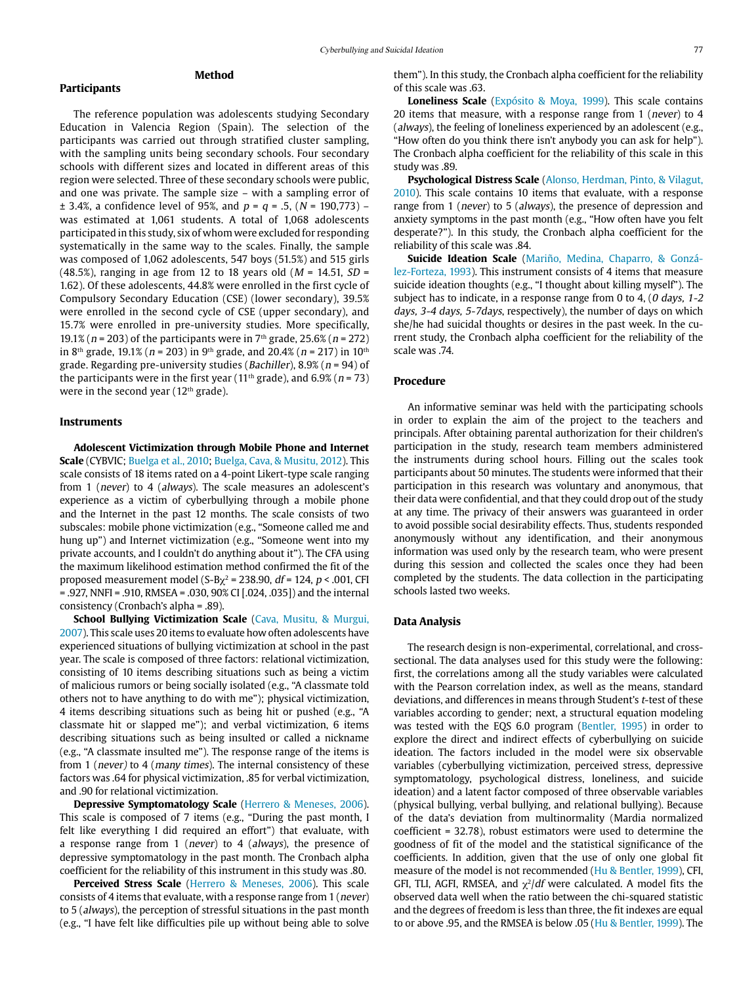# **Method**

The reference population was adolescents studying Secondary Education in Valencia Region (Spain). The selection of the participants was carried out through stratified cluster sampling, with the sampling units being secondary schools. Four secondary schools with different sizes and located in different areas of this region were selected. Three of these secondary schools were public, and one was private. The sample size – with a sampling error of  $\pm$  3.4%, a confidence level of 95%, and  $p = q = .5$ , (N = 190,773) – was estimated at 1,061 students. A total of 1,068 adolescents participated in this study, six of whom were excluded for responding systematically in the same way to the scales. Finally, the sample was composed of 1,062 adolescents, 547 boys (51.5%) and 515 girls (48.5%), ranging in age from 12 to 18 years old  $(M = 14.51, SD =$ 1.62). Of these adolescents, 44.8% were enrolled in the first cycle of Compulsory Secondary Education (CSE) (lower secondary), 39.5% were enrolled in the second cycle of CSE (upper secondary), and 15.7% were enrolled in pre-university studies. More specifically, 19.1% ( $n = 203$ ) of the participants were in  $7<sup>th</sup>$  grade, 25.6% ( $n = 272$ ) in 8<sup>th</sup> grade, 19.1% (n = 203) in 9<sup>th</sup> grade, and 20.4% (n = 217) in 10<sup>th</sup> grade. Regarding pre-university studies (*Bachiller*), 8.9% ( $n = 94$ ) of the participants were in the first year (11<sup>th</sup> grade), and  $6.9\%$  ( $n = 73$ ) were in the second year (12<sup>th</sup> grade).

## **Instruments**

**Participants**

**Adolescent Victimization through Mobile Phone and Internet Scale** (CYBVIC; Buelga et al., 2010; Buelga, Cava, & Musitu, 2012). This scale consists of 18 items rated on a 4-point Likert-type scale ranging from 1 (never) to 4 (always). The scale measures an adolescent's experience as a victim of cyberbullying through a mobile phone and the Internet in the past 12 months. The scale consists of two subscales: mobile phone victimization (e.g., "Someone called me and hung up") and Internet victimization (e.g., "Someone went into my private accounts, and I couldn't do anything about it"). The CFA using the maximum likelihood estimation method confirmed the fit of the proposed measurement model (S-B $\chi^2$  = 238.90, df = 124, p < .001, CFI = .927, NNFI = .910, RMSEA = .030, 90% CI [.024, .035]) and the internal consistency (Cronbach's alpha = .89).

**School Bullying Victimization Scale** (Cava, Musitu, & Murgui, 2007). This scale uses 20 items to evaluate how often adolescents have experienced situations of bullying victimization at school in the past year. The scale is composed of three factors: relational victimization, consisting of 10 items describing situations such as being a victim of malicious rumors or being socially isolated (e.g., "A classmate told others not to have anything to do with me"); physical victimization, 4 items describing situations such as being hit or pushed (e.g., "A classmate hit or slapped me"); and verbal victimization, 6 items describing situations such as being insulted or called a nickname (e.g., "A classmate insulted me"). The response range of the items is from 1 (never) to 4 (many times). The internal consistency of these factors was .64 for physical victimization, .85 for verbal victimization, and .90 for relational victimization.

**Depressive Symptomatology Scale** (Herrero & Meneses, 2006). This scale is composed of 7 items (e.g., "During the past month, I felt like everything I did required an effort") that evaluate, with a response range from 1 (never) to 4 (always), the presence of depressive symptomatology in the past month. The Cronbach alpha coefficient for the reliability of this instrument in this study was .80.

**Perceived Stress Scale** (Herrero & Meneses, 2006). This scale consists of 4 items that evaluate, with a response range from 1 (never) to 5 (always), the perception of stressful situations in the past month (e.g., "I have felt like difficulties pile up without being able to solve

them"). In this study, the Cronbach alpha coefficient for the reliability of this scale was .63.

**Loneliness Scale** (Expósito & Moya, 1999). This scale contains 20 items that measure, with a response range from 1 (never) to 4 (always), the feeling of loneliness experienced by an adolescent (e.g., "How often do you think there isn't anybody you can ask for help"). The Cronbach alpha coefficient for the reliability of this scale in this study was .89.

**Psychological Distress Scale** (Alonso, Herdman, Pinto, & Vilagut, 2010). This scale contains 10 items that evaluate, with a response range from 1 (never) to 5 (always), the presence of depression and anxiety symptoms in the past month (e.g., "How often have you felt desperate?"). In this study, the Cronbach alpha coefficient for the reliability of this scale was .84.

**Suicide Ideation Scale** (Mariño, Medina, Chaparro, & González-Forteza, 1993). This instrument consists of 4 items that measure suicide ideation thoughts (e.g., "I thought about killing myself"). The subject has to indicate, in a response range from 0 to 4,  $(0 \text{ days}, 1-2)$ days, 3-4 days, 5-7days, respectively), the number of days on which she/he had suicidal thoughts or desires in the past week. In the current study, the Cronbach alpha coefficient for the reliability of the scale was .74.

## **Procedure**

An informative seminar was held with the participating schools in order to explain the aim of the project to the teachers and principals. After obtaining parental authorization for their children's participation in the study, research team members administered the instruments during school hours. Filling out the scales took participants about 50 minutes. The students were informed that their participation in this research was voluntary and anonymous, that their data were confidential, and that they could drop out of the study at any time. The privacy of their answers was guaranteed in order to avoid possible social desirability effects. Thus, students responded anonymously without any identification, and their anonymous information was used only by the research team, who were present during this session and collected the scales once they had been completed by the students. The data collection in the participating schools lasted two weeks.

# **Data Analysis**

The research design is non-experimental, correlational, and crosssectional. The data analyses used for this study were the following: first, the correlations among all the study variables were calculated with the Pearson correlation index, as well as the means, standard deviations, and differences in means through Student's t-test of these variables according to gender; next, a structural equation modeling was tested with the EQS 6.0 program (Bentler, 1995) in order to explore the direct and indirect effects of cyberbullying on suicide ideation. The factors included in the model were six observable variables (cyberbullying victimization, perceived stress, depressive symptomatology, psychological distress, loneliness, and suicide ideation) and a latent factor composed of three observable variables (physical bullying, verbal bullying, and relational bullying). Because of the data's deviation from multinormality (Mardia normalized coefficient = 32.78), robust estimators were used to determine the goodness of fit of the model and the statistical significance of the coefficients. In addition, given that the use of only one global fit measure of the model is not recommended (Hu & Bentler, 1999), CFI, GFI, TLI, AGFI, RMSEA, and  $\chi^2/df$  were calculated. A model fits the observed data well when the ratio between the chi-squared statistic and the degrees of freedom is less than three, the fit indexes are equal to or above .95, and the RMSEA is below .05 (Hu & Bentler, 1999). The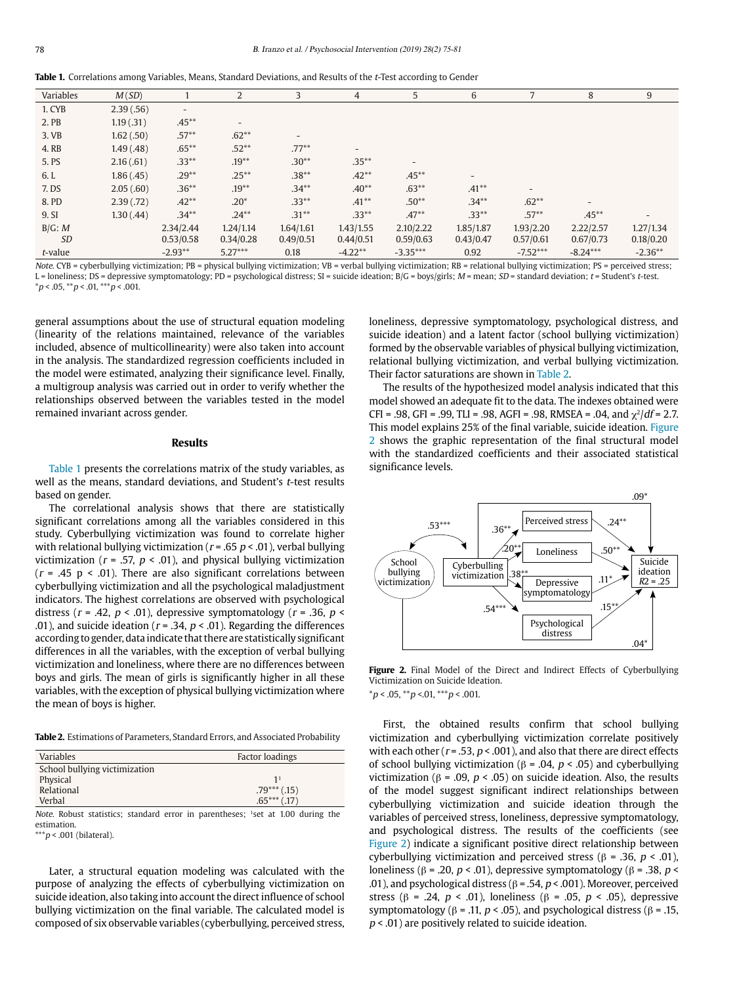**Table 1.** Correlations among Variables, Means, Standard Deviations, and Results of the t-Test according to Gender

|           |            |                          |           |                          |                          | $\tilde{}$               |                          |                          |                          |                          |
|-----------|------------|--------------------------|-----------|--------------------------|--------------------------|--------------------------|--------------------------|--------------------------|--------------------------|--------------------------|
| Variables | M(SD)      |                          | 2         | 3                        | $\overline{4}$           | 5                        | 6                        |                          | 8                        | 9                        |
| 1. CYB    | 2.39(.56)  | $\overline{\phantom{a}}$ |           |                          |                          |                          |                          |                          |                          |                          |
| 2. PB     | 1.19(.31)  | $.45***$                 |           |                          |                          |                          |                          |                          |                          |                          |
| 3.VB      | 1.62(.50)  | $.57**$                  | $.62**$   | $\overline{\phantom{a}}$ |                          |                          |                          |                          |                          |                          |
| 4.RB      | 1.49(0.48) | $.65***$                 | $.52**$   | $.77***$                 | $\overline{\phantom{a}}$ |                          |                          |                          |                          |                          |
| 5. PS     | 2.16(.61)  | $.33***$                 | $.19***$  | $.30**$                  | $.35***$                 | $\overline{\phantom{a}}$ |                          |                          |                          |                          |
| 6. L      | 1.86(.45)  | $.29***$                 | $.25***$  | $.38***$                 | $.42**$                  | $.45***$                 | $\overline{\phantom{a}}$ |                          |                          |                          |
| 7. DS     | 2.05(.60)  | $.36***$                 | $.19***$  | $.34***$                 | $.40**$                  | $.63***$                 | $.41**$                  | $\overline{\phantom{a}}$ |                          |                          |
| 8.PD      | 2.39(0.72) | $.42***$                 | $.20*$    | $.33***$                 | $.41***$                 | $.50**$                  | $.34**$                  | $.62**$                  | $\overline{\phantom{a}}$ |                          |
| 9. SI     | 1.30(0.44) | $.34***$                 | $.24***$  | $.31***$                 | $.33***$                 | $.47**$                  | $.33***$                 | $.57***$                 | $.45***$                 | $\overline{\phantom{0}}$ |
| B/G: M    |            | 2.34/2.44                | 1.24/1.14 | 1.64/1.61                | 1.43/1.55                | 2.10/2.22                | 1.85/1.87                | 1.93/2.20                | 2.22/2.57                | 1,27/1,34                |
| <b>SD</b> |            | 0.53/0.58                | 0.34/0.28 | 0.49/0.51                | 0.44/0.51                | 0.59/0.63                | 0.43/0.47                | 0.57/0.61                | 0.67/0.73                | 0.18/0.20                |
| t-value   |            | $-2.93**$                | $5.27***$ | 0.18                     | $-4.22**$                | $-3.35***$               | 0.92                     | $-7.52***$               | $-8.24***$               | $-2.36**$                |

Note. CYB = cyberbullying victimization; PB = physical bullying victimization; VB = verbal bullying victimization; RB = relational bullying victimization; PS = perceived stress; L = loneliness; DS = depressive symptomatology; PD = psychological distress; SI = suicide ideation;  $B/G$  = boys/girls; M = mean; SD = standard deviation; t = Student's t-test.  $*p < .05, **p < .01, **p < .001.$ 

general assumptions about the use of structural equation modeling (linearity of the relations maintained, relevance of the variables included, absence of multicollinearity) were also taken into account in the analysis. The standardized regression coefficients included in the model were estimated, analyzing their significance level. Finally, a multigroup analysis was carried out in order to verify whether the relationships observed between the variables tested in the model remained invariant across gender.

## **Results**

Table 1 presents the correlations matrix of the study variables, as well as the means, standard deviations, and Student's t-test results based on gender.

The correlational analysis shows that there are statistically significant correlations among all the variables considered in this study. Cyberbullying victimization was found to correlate higher with relational bullying victimization ( $r = .65$   $p < .01$ ), verbal bullying victimization ( $r = .57$ ,  $p < .01$ ), and physical bullying victimization  $(r = .45 \text{ p} < .01)$ . There are also significant correlations between cyberbullying victimization and all the psychological maladjustment indicators. The highest correlations are observed with psychological distress ( $r = .42$ ,  $p < .01$ ), depressive symptomatology ( $r = .36$ ,  $p <$ .01), and suicide ideation ( $r = .34$ ,  $p < .01$ ). Regarding the differences according to gender, data indicate that there are statistically significant differences in all the variables, with the exception of verbal bullying victimization and loneliness, where there are no differences between boys and girls. The mean of girls is significantly higher in all these variables, with the exception of physical bullying victimization where the mean of boys is higher.

**Table 2.** Estimations of Parameters, Standard Errors, and Associated Probability

| <b>Variables</b>              | Factor loadings |
|-------------------------------|-----------------|
| School bullying victimization |                 |
| Physical                      | 11              |
| Relational                    | $.79***$ (.15)  |
| Verbal                        | $.65***(.17)$   |

Note. Robust statistics; standard error in parentheses; <sup>1</sup>set at 1.00 during the estimation.

 $**p < .001$  (bilateral).

Later, a structural equation modeling was calculated with the purpose of analyzing the effects of cyberbullying victimization on suicide ideation, also taking into account the direct influence of school bullying victimization on the final variable. The calculated model is composed of six observable variables (cyberbullying, perceived stress, loneliness, depressive symptomatology, psychological distress, and suicide ideation) and a latent factor (school bullying victimization) formed by the observable variables of physical bullying victimization, relational bullying victimization, and verbal bullying victimization. Their factor saturations are shown in Table 2.

The results of the hypothesized model analysis indicated that this model showed an adequate fit to the data. The indexes obtained were CFI = .98, GFI = .99, TLI = .98, AGFI = .98, RMSEA = .04, and  $\chi^2$  df = 2.7. This model explains 25% of the final variable, suicide ideation. Figure 2 shows the graphic representation of the final structural model with the standardized coefficients and their associated statistical significance levels.



**Figure 2.** Final Model of the Direct and Indirect Effects of Cyberbullying Victimization on Suicide Ideation.  $*p < .05, **p < .01, **p < .001.$ 

First, the obtained results confirm that school bullying victimization and cyberbullying victimization correlate positively with each other ( $r = .53$ ,  $p < .001$ ), and also that there are direct effects of school bullying victimization (β = .04, p < .05) and cyberbullying victimization (β = .09,  $p$  < .05) on suicide ideation. Also, the results of the model suggest significant indirect relationships between cyberbullying victimization and suicide ideation through the variables of perceived stress, loneliness, depressive symptomatology, and psychological distress. The results of the coefficients (see Figure 2) indicate a significant positive direct relationship between cyberbullying victimization and perceived stress ( $\beta$  = .36,  $p < .01$ ), loneliness ( $\beta$  = .20,  $p < .01$ ), depressive symptomatology ( $\beta$  = .38,  $p <$ .01), and psychological distress ( $\beta$  = .54,  $p$  < .001). Moreover, perceived stress ( $\beta$  = .24,  $p < .01$ ), loneliness ( $\beta$  = .05,  $p < .05$ ), depressive symptomatology ( $\beta$  = .11,  $p < .05$ ), and psychological distress ( $\beta$  = .15,  $p < .01$ ) are positively related to suicide ideation.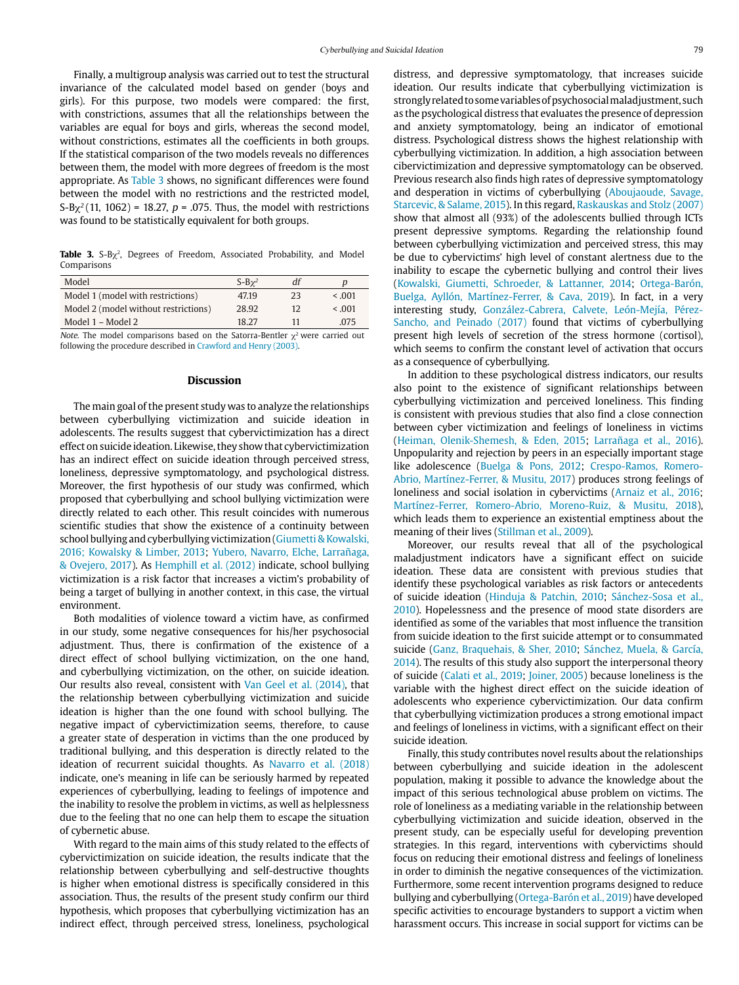Finally, a multigroup analysis was carried out to test the structural invariance of the calculated model based on gender (boys and girls). For this purpose, two models were compared: the first, with constrictions, assumes that all the relationships between the variables are equal for boys and girls, whereas the second model, without constrictions, estimates all the coefficients in both groups. If the statistical comparison of the two models reveals no differences between them, the model with more degrees of freedom is the most appropriate. As Table 3 shows, no significant differences were found between the model with no restrictions and the restricted model,  $S-B\chi^2(11, 1062) = 18.27$ ,  $p = .075$ . Thus, the model with restrictions was found to be statistically equivalent for both groups.

Table 3. S-B<sub>X</sub><sup>2</sup>, Degrees of Freedom, Associated Probability, and Model Comparisons

| $S-B\gamma^2$ | df | D      |
|---------------|----|--------|
| 47.19         | 23 | < 0.01 |
| 28.92         | 12 | < 0.01 |
| 18.27         | 11 | .075   |
|               |    |        |

Note. The model comparisons based on the Satorra-Bentler  $\gamma^2$  were carried out following the procedure described in Crawford and Henry (2003).

### **Discussion**

The main goal of the present study was to analyze the relationships between cyberbullying victimization and suicide ideation in adolescents. The results suggest that cybervictimization has a direct effect on suicide ideation. Likewise, they show that cybervictimization has an indirect effect on suicide ideation through perceived stress, loneliness, depressive symptomatology, and psychological distress. Moreover, the first hypothesis of our study was confirmed, which proposed that cyberbullying and school bullying victimization were directly related to each other. This result coincides with numerous scientific studies that show the existence of a continuity between school bullying and cyberbullying victimization (Giumetti & Kowalski, 2016; Kowalsky & Limber, 2013; Yubero, Navarro, Elche, Larrañaga, & Ovejero, 2017). As Hemphill et al. (2012) indicate, school bullying victimization is a risk factor that increases a victim's probability of being a target of bullying in another context, in this case, the virtual environment.

Both modalities of violence toward a victim have, as confirmed in our study, some negative consequences for his/her psychosocial adjustment. Thus, there is confirmation of the existence of a direct effect of school bullying victimization, on the one hand, and cyberbullying victimization, on the other, on suicide ideation. Our results also reveal, consistent with Van Geel et al. (2014), that the relationship between cyberbullying victimization and suicide ideation is higher than the one found with school bullying. The negative impact of cybervictimization seems, therefore, to cause a greater state of desperation in victims than the one produced by traditional bullying, and this desperation is directly related to the ideation of recurrent suicidal thoughts. As Navarro et al. (2018) indicate, one's meaning in life can be seriously harmed by repeated experiences of cyberbullying, leading to feelings of impotence and the inability to resolve the problem in victims, as well as helplessness due to the feeling that no one can help them to escape the situation of cybernetic abuse.

With regard to the main aims of this study related to the effects of cybervictimization on suicide ideation, the results indicate that the relationship between cyberbullying and self-destructive thoughts is higher when emotional distress is specifically considered in this association. Thus, the results of the present study confirm our third hypothesis, which proposes that cyberbullying victimization has an indirect effect, through perceived stress, loneliness, psychological distress, and depressive symptomatology, that increases suicide ideation. Our results indicate that cyberbullying victimization is strongly related to some variables of psychosocial maladjustment, such as the psychological distress that evaluates the presence of depression and anxiety symptomatology, being an indicator of emotional distress. Psychological distress shows the highest relationship with cyberbullying victimization. In addition, a high association between cibervictimization and depressive symptomatology can be observed. Previous research also finds high rates of depressive symptomatology and desperation in victims of cyberbullying (Aboujaoude, Savage, Starcevic, & Salame, 2015). In this regard, Raskauskas and Stolz (2007) show that almost all (93%) of the adolescents bullied through ICTs present depressive symptoms. Regarding the relationship found between cyberbullying victimization and perceived stress, this may be due to cybervictims' high level of constant alertness due to the inability to escape the cybernetic bullying and control their lives (Kowalski, Giumetti, Schroeder, & Lattanner, 2014; Ortega-Barón, Buelga, Ayllón, Martínez-Ferrer, & Cava, 2019). In fact, in a very interesting study, González-Cabrera, Calvete, León-Mejía, Pérez-Sancho, and Peinado (2017) found that victims of cyberbullying present high levels of secretion of the stress hormone (cortisol), which seems to confirm the constant level of activation that occurs as a consequence of cyberbullying.

In addition to these psychological distress indicators, our results also point to the existence of significant relationships between cyberbullying victimization and perceived loneliness. This finding is consistent with previous studies that also find a close connection between cyber victimization and feelings of loneliness in victims (Heiman, Olenik-Shemesh, & Eden, 2015; Larrañaga et al., 2016). Unpopularity and rejection by peers in an especially important stage like adolescence (Buelga & Pons, 2012; Crespo-Ramos, Romero-Abrio, Martínez-Ferrer, & Musitu, 2017) produces strong feelings of loneliness and social isolation in cybervictims (Arnaiz et al., 2016; Martínez-Ferrer, Romero-Abrio, Moreno-Ruiz, & Musitu, 2018), which leads them to experience an existential emptiness about the meaning of their lives (Stillman et al., 2009).

Moreover, our results reveal that all of the psychological maladjustment indicators have a significant effect on suicide ideation. These data are consistent with previous studies that identify these psychological variables as risk factors or antecedents of suicide ideation (Hinduja & Patchin, 2010; Sánchez-Sosa et al., 2010). Hopelessness and the presence of mood state disorders are identified as some of the variables that most influence the transition from suicide ideation to the first suicide attempt or to consummated suicide (Ganz, Braquehais, & Sher, 2010; Sánchez, Muela, & García, 2014). The results of this study also support the interpersonal theory of suicide (Calati et al., 2019; Joiner, 2005) because loneliness is the variable with the highest direct effect on the suicide ideation of adolescents who experience cybervictimization. Our data confirm that cyberbullying victimization produces a strong emotional impact and feelings of loneliness in victims, with a significant effect on their suicide ideation.

Finally, this study contributes novel results about the relationships between cyberbullying and suicide ideation in the adolescent population, making it possible to advance the knowledge about the impact of this serious technological abuse problem on victims. The role of loneliness as a mediating variable in the relationship between cyberbullying victimization and suicide ideation, observed in the present study, can be especially useful for developing prevention strategies. In this regard, interventions with cybervictims should focus on reducing their emotional distress and feelings of loneliness in order to diminish the negative consequences of the victimization. Furthermore, some recent intervention programs designed to reduce bullying and cyberbullying (Ortega-Barón et al., 2019) have developed specific activities to encourage bystanders to support a victim when harassment occurs. This increase in social support for victims can be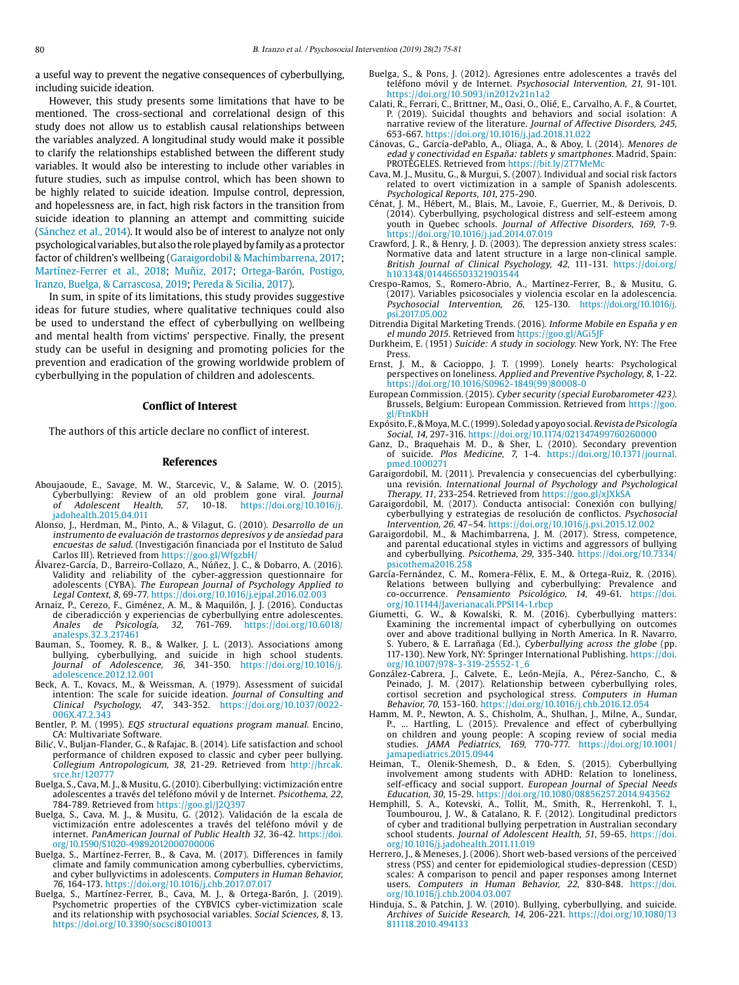a useful way to prevent the negative consequences of cyberbullying, including suicide ideation.

However, this study presents some limitations that have to be mentioned. The cross-sectional and correlational design of this study does not allow us to establish causal relationships between the variables analyzed. A longitudinal study would make it possible to clarify the relationships established between the different study variables. It would also be interesting to include other variables in future studies, such as impulse control, which has been shown to be highly related to suicide ideation. Impulse control, depression, and hopelessness are, in fact, high risk factors in the transition from suicide ideation to planning an attempt and committing suicide (Sánchez et al., 2014). It would also be of interest to analyze not only psychological variables, but also the role played by family as a protector factor of children's wellbeing (Garaigordobil & Machimbarrena, 2017; Martínez-Ferrer et al., 2018; Muñiz, 2017; Ortega-Barón, Postigo, Iranzo, Buelga, & Carrascosa, 2019; Pereda & Sicilia, 2017).

In sum, in spite of its limitations, this study provides suggestive ideas for future studies, where qualitative techniques could also be used to understand the effect of cyberbullying on wellbeing and mental health from victims' perspective. Finally, the present study can be useful in designing and promoting policies for the prevention and eradication of the growing worldwide problem of cyberbullying in the population of children and adolescents.

### **Conflict of Interest**

The authors of this article declare no conflict of interest.

### **References**

- Aboujaoude, E., Savage, M. W., Starcevic, V., & Salame, W. O. (2015). Cyberbullying: Review of an old problem gone viral. Journal of Adolescent Health, 57, 10-18. [https://doi.org/10.1016/j.](https://doi.org/10.1016/j.jadohealth.2015.04.011) [jadohealth.2015.04.011](https://doi.org/10.1016/j.jadohealth.2015.04.011)
- Alonso, J., Herdman, M., Pinto, A., & Vilagut, G. (2010). Desarrollo de un instrumento de evaluación de trastornos depresivos y de ansiedad para encuestas de salud. (Investigación financiada por el Instituto de Salud Carlos III). Retrieved from<https://goo.gl/WfgzbH>/
- Álvarez-García, D., Barreiro-Collazo, A., Núñez, J. C., & Dobarro, A. (2016). Validity and reliability of the cyber-aggression questionnaire for adolescents (CYBA). The European Journal of Psychology Applied to Legal Context, 8, 69-77. <https://doi.org/10.1016/j.ejpal.2016.02.003>
- Arnaiz, P., Cerezo, F., Giménez, A. M., & Maquilón, J. J. (2016). Conductas de ciberadicción y experiencias de cyberbullying entre adolescentes.<br>*Anales de Psicología, 32, 7*61-769. https://doi.org[/10.6018/](https://doi.org/10.6018/analesps.32.3.217461) [analesps.32.3.217461](https://doi.org/10.6018/analesps.32.3.217461)
- Bauman, S., Toomey, R. B., & Walker, J. L. (2013). Associations among bullying, cyberbullying, and suicide in high school students. Journal of Adolescence, 36, 341-350. https://doi.org/[10.1016/j.](https://doi.org/10.1016/j.adolescence.2012.12.001) [adolescence.2012.12.001](https://doi.org/10.1016/j.adolescence.2012.12.001)
- Beck, A. T., Kovacs, M., & Weissman, A. (1979). Assessment of suicidal intention: The scale for suicide ideation. Journal of Consulting and Clinical Psychology, 47, 343-352. https://doi.org/[10.1037/0022-](https://doi.org/10.1037/0022-006X.47.2.343) [006X.47.2.343](https://doi.org/10.1037/0022-006X.47.2.343)
- Bentler, P. M. (1995). EQS structural equations program manual. Encino, CA: Multivariate Software.
- Bilić, V., Buljan-Flander, G., & Rafajac, B. (2014). Life satisfaction and school performance of children exposed to classic and cyber peer bullying. Collegium Antropologicum, 38, 21-29. Retrieved from [http://hrcak.](http://hrcak.srce.hr/120777) [srce.hr/120777](http://hrcak.srce.hr/120777)
- Buelga, S., Cava, M. J., & Musitu, G. (2010). Ciberbullying: victimización entre adolescentes a través del teléfono móvil y de Internet. Psicothema, 22, 784-789. Retrieved from <https://goo.gl/J2Q397>
- Buelga, S., Cava, M. J., & Musitu, G. (2012). Validación de la escala de victimización entre adolescentes a través del teléfono móvil y de internet. PanAmerican Journal of Public Health 32, 36-42. [https://doi.](https://doi.org/10.1590/S1020-49892012000700006) [org/10.1590/S1020-49892012000700006](https://doi.org/10.1590/S1020-49892012000700006)
- Buelga, S., Martínez-Ferrer, B., & Cava, M. (2017). Differences in family climate and family communication among cyberbullies, cybervictims, and cyber bullyvictims in adolescents. Computers in Human Behavior, 76, 164-173. https://doi.org/10.1016/j.chb.2017.07.017
- Buelga, S., Martínez-Ferrer, B., Cava, M. J., & Ortega-Barón, J. (2019). Psychometric properties of the CYBVICS cyber-victimization scale and its relationship with psychosocial variables. Social Sciences, 8, 13. https://doi.org/[10.3390/socsci8010013](https://doi.org/10.3390/socsci8010013)
- Buelga, S., & Pons, J. (2012). Agresiones entre adolescentes a través del teléfono móvil y de Internet. Psychosocial Intervention, 21, 91-101. https://doi.org/10.5093/in2012v21n1a2
- Calati, R., Ferrari, C., Brittner, M., Oasi, O., Olié, E., Carvalho, A. F., & Courtet, P. (2019). Suicidal thoughts and behaviors and social isolation: A narrative review of the literature. Journal of Affective Disorders, 245, 653-667. https://doi.org[/10.1016/j.jad.2018.11.022](https://doi.org/10.1016/j.jad.2018.11.022)
- Cánovas, G., García-dePablo, A., Oliaga, A., & Aboy, I. (2014). Menores de edad y conectividad en España: tablets y smartphones. Madrid, Spain: PROTÉGELES. Retrieved from <https://bit.ly/2T7MeMc>
- Cava, M. J., Musitu, G., & Murgui, S. (2007). Individual and social risk factors related to overt victimization in a sample of Spanish adolescents. Psychological Reports, 101, 275-290.
- Cénat, J. M., Hébert, M., Blais, M., Lavoie, F., Guerrier, M., & Derivois, D. (2014). Cyberbullying, psychological distress and self-esteem among youth in Quebec schools. Journal of Affective Disorders, 169, 7-9. https://doi.org[/10.1016/j.jad.2014.07.019](https://doi.org/10.1016/j.jad.2014.07.019)
- Crawford, J. R., & Henry, J. D. (2003). The depression anxiety stress scales: Normative data and latent structure in a large non-clinical sample. British Journal of Clinical Psychology, 42, 111-131. https://doi.org/ [h10.1348/014466503321903544](https://doi.org/h10.1348/014466503321903544)
- Crespo-Ramos, S., Romero-Abrio, A., Martínez-Ferrer, B., & Musitu, G. (2017). Variables psicosociales y violencia escolar en la adolescencia. Psychosocial Intervention, 26, 125-130. [https://doi.org/10.1016/j.](https://doi.org/10.1016/j.psi.2017.05.002) [psi.2017.05.002](https://doi.org/10.1016/j.psi.2017.05.002)
- Ditrendia Digital Marketing Trends. (2016). Informe Mobile en España y en el mundo 2015. Retrieved from https://goo.gl/AGi5JF
- Durkheim, E. (1951) Suicide: A study in sociology. New York, NY: The Free Press.
- Ernst, J. M., & Cacioppo, J. T. (1999). Lonely hearts: Psychological perspectives on loneliness. Applied and Preventive Psychology, 8, 1-22. https://doi.org[/10.1016/S0962-1849\(99\)80008-0](https://doi.org/10.1016/S0962-1849(99)80008-0)
- European Commission. (2015). Cyber security (special Eurobarometer 423). Brussels, Belgium: European Commission. Retrieved from [https://goo.](https://goo.gl/FtnKbH) [gl/FtnKbH](https://goo.gl/FtnKbH)
- Expósito, F., & Moya, M. C. (1999). Soledad y apoyo social. Revista de Psicología Social, 14, 297-316. https://doi.org/[10.1174/021347499760260000](http://doi.org/10.1174/021347499760260000)
- Ganz, D., Braquehais M. D., & Sher, L. (2010). Secondary prevention of suicide. Plos Medicine, 7, 1-4. https://doi.org[/10.1371/journal.](https://doi.org/10.1371/journal.pmed.1000271) [pmed.1000271](https://doi.org/10.1371/journal.pmed.1000271)
- Garaigordobil, M. (2011). Prevalencia y consecuencias del cyberbullying: una revisión. International Journal of Psychology and Psychological Therapy, 11, 233-254. Retrieved from <https://goo.gl/xJXkSA>
- Garaigordobil, M. (2017). Conducta antisocial: Conexión con bullying/ cyberbullying y estrategias de resolución de conflictos. Psychosocial Intervention, 26, 47–54. https://doi.org/[10.1016/j.psi.2015.12.002](https://doi.org/10.1016/j.psi.2015.12.002)
- Garaigordobil, M., & Machimbarrena, J. M. (2017). Stress, competence, and parental educational styles in victims and aggressors of bullying and cyberbullying. Psicothema, 29, 335-340. [https://doi.org/10.7334/](https://doi.org/10.7334/psicothema2016.258) [psicothema2016.258](https://doi.org/10.7334/psicothema2016.258)
- García-Fernández, C. M., Romera-Félix, E. M., & Ortega-Ruiz, R. (2016). Relations between bullying and cyberbullying: Prevalence and co-occurrence. Pensamiento Psicológico, 14, 49-61. [https://doi.](https://doi.org/10.11144/Javerianacali.PPSI14-1.rbcp) [org/10.11144/Javerianacali.PPSI14-1.rbcp](https://doi.org/10.11144/Javerianacali.PPSI14-1.rbcp)
- Giumetti, G. W., & Kowalski, R. M. (2016). Cyberbullying matters: Examining the incremental impact of cyberbullying on outcomes over and above traditional bullying in North America. In R. Navarro, S. Yubero, & E. Larrañaga (Ed.), Cyberbullying across the globe (pp. 117-130). New York, NY: Springer International Publishing. https://doi. org[/10.1007/978-3-319-25552-1\\_6](https://doi.org/10.1007/978-3-319-25552-1_6)
- González-Cabrera, J., Calvete, E., León-Mejía, A., Pérez-Sancho, C., & Peinado, J. M. (2017). Relationship between cyberbullying roles, cortisol secretion and psychological stress. Computers in Human Behavior, 70, 153-160. https://doi.org/[10.1016/j.chb.2016.12.054](https://doi.org/10.1016/j.chb.2016.12.054)
- Hamm, M. P., Newton, A. S., Chisholm, A., Shulhan, J., Milne, A., Sundar, P., ... Hartling, L. (2015). Prevalence and effect of cyberbullying on children and young people: A scoping review of social media studies. JAMA Pediatrics, 169, 770-777. [https://doi.org/10.1001/](https://doi.org/10.1001/jamapediatrics.2015.0944) [jamapediatrics.2015.0944](https://doi.org/10.1001/jamapediatrics.2015.0944)
- Heiman, T., Olenik-Shemesh, D., & Eden, S. (2015). Cyberbullying involvement among students with ADHD: Relation to loneliness, self-efficacy and social support. European Journal of Special Needs Education, 30, 15-29. <https://doi.org/10.1080/08856257.2014.943562>
- Hemphill, S. A., Kotevski, A., Tollit, M., Smith, R., Herrenkohl, T. I., Toumbourou, J. W., & Catalano, R. F. (2012). Longitudinal predictors of cyber and traditional bullying perpetration in Australian secondary school students. Journal of Adolescent Health, 51, 59-65. https://doi. org[/10.1016/j.jadohealth.2011.11.019](https://doi.org/10.1016/j.jadohealth.2011.11.019)
- Herrero, J., & Meneses, J. (2006). Short web-based versions of the perceived stress (PSS) and center for epidemiological studies-depression (CESD) scales: A comparison to pencil and paper responses among Internet users. Computers in Human Behavior, 22, 830-848. https://doi. org[/10.1016/j.chb.2004.03.007](https://doi.org/10.1016/j.chb.2004.03.007)
- Hinduja, S., & Patchin, J. W. (2010). Bullying, cyberbullying, and suicide. Archives of Suicide Research, 14, 206-221. https://doi.org/[10.1080/13](https://doi.org/10.1080/13811118.2010.494133) [811118.2010.494133](https://doi.org/10.1080/13811118.2010.494133)